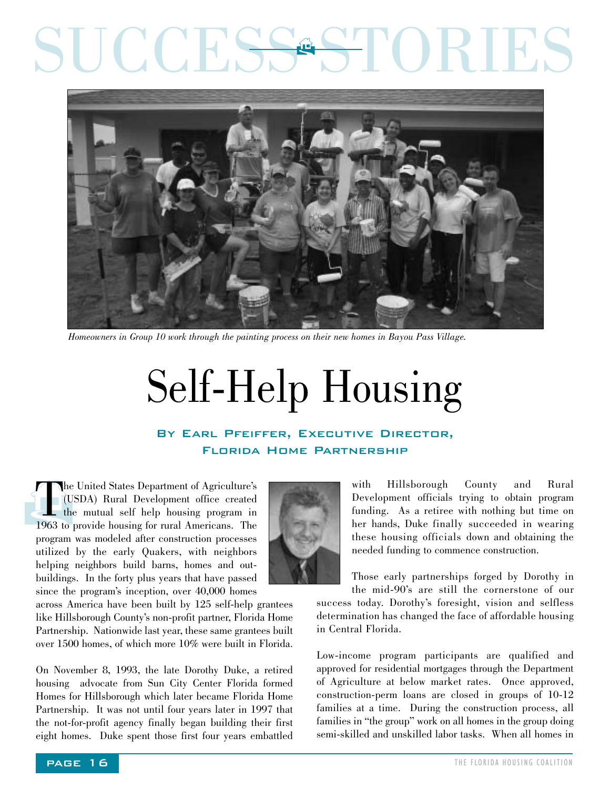## SUCCESS STORIES  $\mathbf{\hat{F}}$



*Homeowners in Group 10 work through the painting process on their new homes in Bayou Pass Village.*

## Self-Help Housing

## By Earl Pfeiffer, Executive Director, Florida Home Partnership

The United States Department of Agriculture's<br>(USDA) Rural Development office created<br>the mutual self help housing program in<br>1963 to provide housing for rural Americans. The (USDA) Rural Development office created the mutual self help housing program in 1963 to provide housing for rural Americans. The program was modeled after construction processes utilized by the early Quakers, with neighbors helping neighbors build barns, homes and outbuildings. In the forty plus years that have passed since the program's inception, over 40,000 homes



with Hillsborough County and Rural Development officials trying to obtain program funding. As a retiree with nothing but time on her hands, Duke finally succeeded in wearing these housing officials down and obtaining the needed funding to commence construction.

Those early partnerships forged by Dorothy in the mid-90's are still the cornerstone of our

success today. Dorothy's foresight, vision and selfless determination has changed the face of affordable housing in Central Florida.

Low-income program participants are qualified and approved for residential mortgages through the Department of Agriculture at below market rates. Once approved, construction-perm loans are closed in groups of 10-12 families at a time. During the construction process, all families in "the group" work on all homes in the group doing semi-skilled and unskilled labor tasks. When all homes in

across America have been built by 125 self-help grantees like Hillsborough County's non-profit partner, Florida Home Partnership. Nationwide last year, these same grantees built over 1500 homes, of which more 10% were built in Florida.

On November 8, 1993, the late Dorothy Duke, a retired housing advocate from Sun City Center Florida formed Homes for Hillsborough which later became Florida Home Partnership. It was not until four years later in 1997 that the not-for-profit agency finally began building their first eight homes. Duke spent those first four years embattled